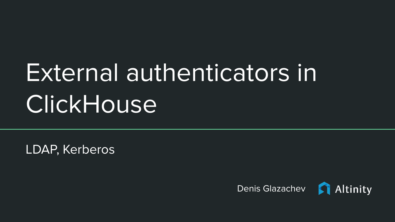# External authenticators in **ClickHouse**

LDAP, Kerberos

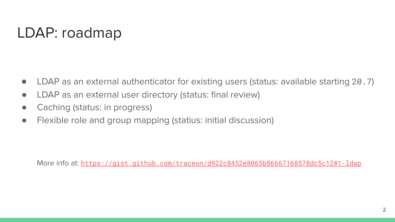## LDAP: roadmap

- LDAP as an external authenticator for existing users (status: available starting 20.7)
- LDAP as an external user directory (status: final review)
- Caching (status: in progress)
- Flexible role and group mapping (statius: initial discussion)

More info at: <https://gist.github.com/traceon/d922c8452e8065b86667168578dc5c12#1-ldap>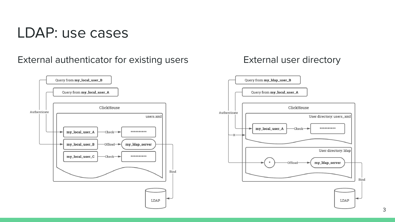#### LDAP: use cases

External authenticator for existing users



#### External user directory

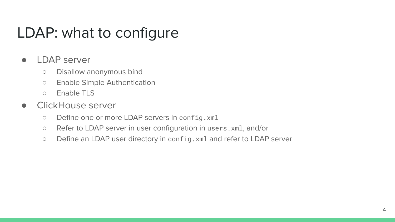### LDAP: what to configure

#### ● LDAP server

- Disallow anonymous bind
- Enable Simple Authentication
- Enable TLS
- ClickHouse server
	- Define one or more LDAP servers in config.xml
	- Refer to LDAP server in user configuration in users.xml, and/or
	- Define an LDAP user directory in config.xml and refer to LDAP server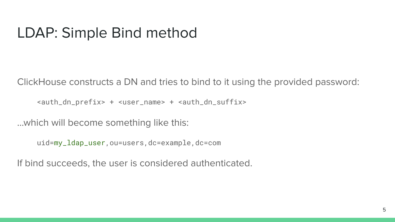#### LDAP: Simple Bind method

ClickHouse constructs a DN and tries to bind to it using the provided password:

<auth\_dn\_prefix> + <user\_name> + <auth\_dn\_suffix>

...which will become something like this:

uid=my\_ldap\_user,ou=users,dc=example,dc=com

If bind succeeds, the user is considered authenticated.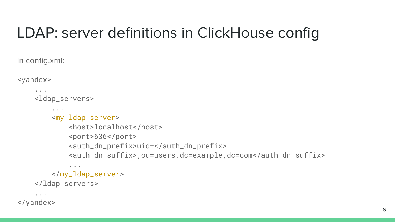## LDAP: server definitions in ClickHouse config

In config.xml:

<yandex>

```
 ...
   <ldap_servers>
...
       <my_ldap_server>
           <host>localhost</host>
           <port>636</port>
           <auth_dn_prefix>uid=</auth_dn_prefix>
           <auth_dn_suffix>,ou=users,dc=example,dc=com</auth_dn_suffix>
...
       </my_ldap_server>
   </ldap_servers>
```
</yandex>

...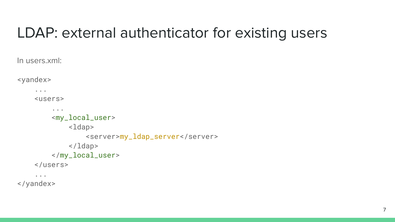#### LDAP: external authenticator for existing users

In users.xml:

<yandex> ... <users> ... <my\_local\_user> <ldap> <server>my\_ldap\_server</server> </ldap> </my\_local\_user> </users> ...

</yandex>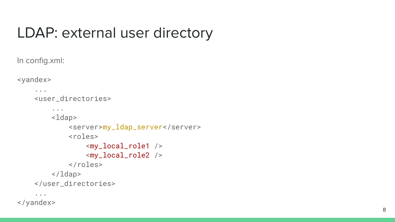#### LDAP: external user directory

In config.xml:

<yandex>

```
 ...
<user_directories>
    ...
    <ldap>
         <server>my_ldap_server</server>
         <roles>
             <my_local_role1 />
             <my_local_role2 />
         </roles>
    </ldap>
</user_directories>
...
```
</yandex>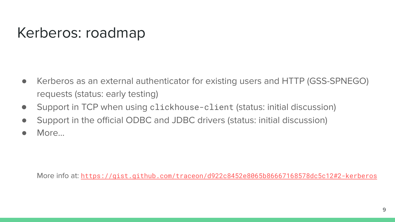#### Kerberos: roadmap

- Kerberos as an external authenticator for existing users and HTTP (GSS-SPNEGO) requests (status: early testing)
- Support in TCP when using clickhouse-client (status: initial discussion)
- Support in the official ODBC and JDBC drivers (status: initial discussion)
- More...

More info at: <https://gist.github.com/traceon/d922c8452e8065b86667168578dc5c12#2-kerberos>